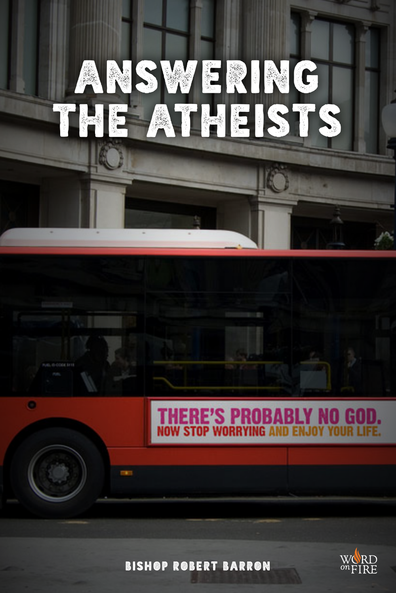

BISHOP ROBERT BARRON

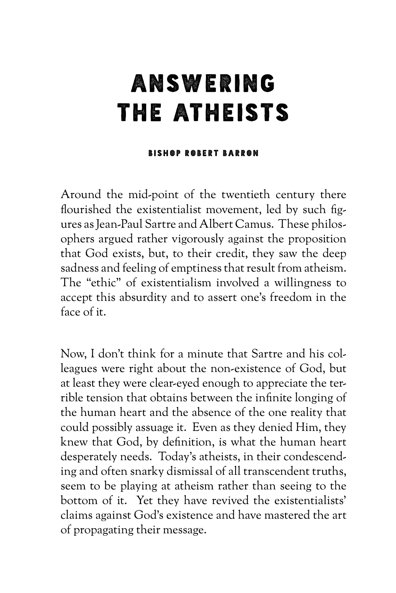## ANSWERING THE ATHEISTS

## BISHOP ROBERT BARRON

Around the mid-point of the twentieth century there flourished the existentialist movement, led by such figures as Jean-Paul Sartre and Albert Camus. These philosophers argued rather vigorously against the proposition that God exists, but, to their credit, they saw the deep sadness and feeling of emptiness that result from atheism. The "ethic" of existentialism involved a willingness to accept this absurdity and to assert one's freedom in the face of it.

Now, I don't think for a minute that Sartre and his colleagues were right about the non-existence of God, but at least they were clear-eyed enough to appreciate the terrible tension that obtains between the infinite longing of the human heart and the absence of the one reality that could possibly assuage it. Even as they denied Him, they knew that God, by definition, is what the human heart desperately needs. Today's atheists, in their condescending and often snarky dismissal of all transcendent truths, seem to be playing at atheism rather than seeing to the bottom of it. Yet they have revived the existentialists' claims against God's existence and have mastered the art of propagating their message.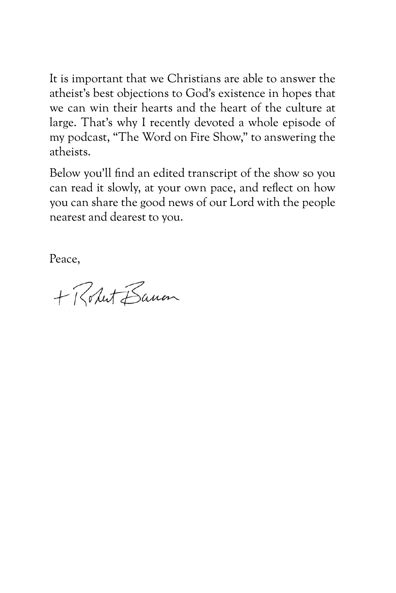It is important that we Christians are able to answer the atheist's best objections to God's existence in hopes that we can win their hearts and the heart of the culture at large. That's why I recently devoted a whole episode of my podcast, "The Word on Fire Show," to answering the atheists.

Below you'll find an edited transcript of the show so you can read it slowly, at your own pace, and reflect on how you can share the good news of our Lord with the people nearest and dearest to you.

Peace,

+ Robert Bancon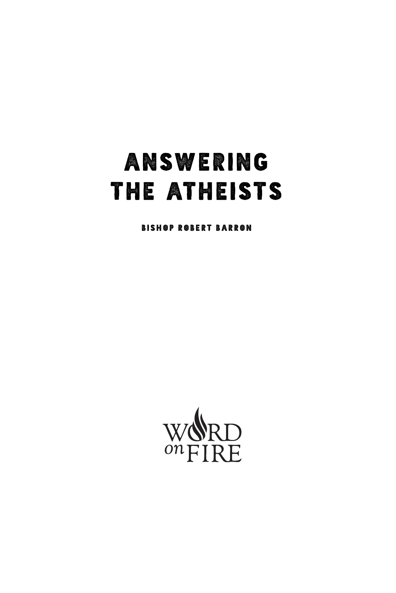## ANSWERING THE ATHEISTS

BISHOP ROBERT BARRON

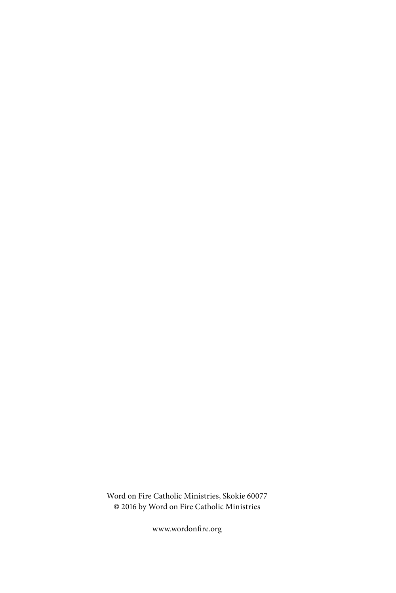Word on Fire Catholic Ministries, Skokie 60077 © 2016 by Word on Fire Catholic Ministries

www.wordonfire.org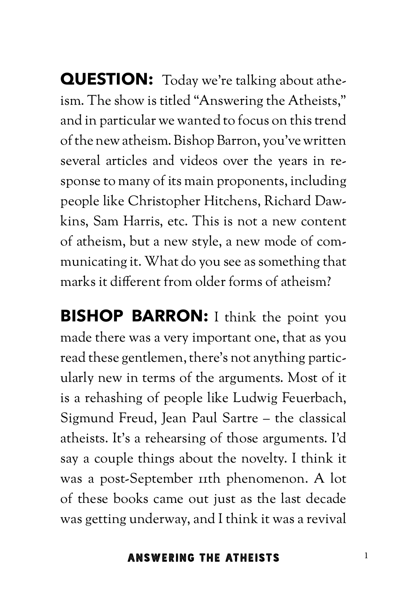**QUESTION:** Today we're talking about atheism. The show is titled "Answering the Atheists," and in particular we wanted to focus on this trend of the new atheism. Bishop Barron, you've written several articles and videos over the years in response to many of its main proponents, including people like Christopher Hitchens, Richard Dawkins, Sam Harris, etc. This is not a new content of atheism, but a new style, a new mode of communicating it. What do you see as something that marks it different from older forms of atheism?

**BISHOP BARRON:** I think the point you made there was a very important one, that as you read these gentlemen, there's not anything particularly new in terms of the arguments. Most of it is a rehashing of people like Ludwig Feuerbach, Sigmund Freud, Jean Paul Sartre – the classical atheists. It's a rehearsing of those arguments. I'd say a couple things about the novelty. I think it was a post-September 11th phenomenon. A lot of these books came out just as the last decade was getting underway, and I think it was a revival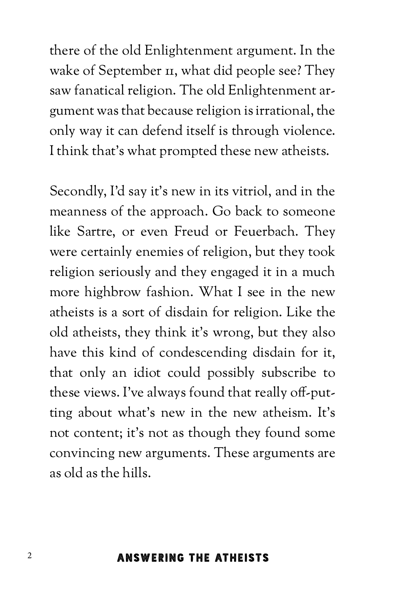there of the old Enlightenment argument. In the wake of September II, what did people see? They saw fanatical religion. The old Enlightenment argument was that because religion is irrational, the only way it can defend itself is through violence. I think that's what prompted these new atheists.

Secondly, I'd say it's new in its vitriol, and in the meanness of the approach. Go back to someone like Sartre, or even Freud or Feuerbach. They were certainly enemies of religion, but they took religion seriously and they engaged it in a much more highbrow fashion. What I see in the new atheists is a sort of disdain for religion. Like the old atheists, they think it's wrong, but they also have this kind of condescending disdain for it, that only an idiot could possibly subscribe to these views. I've always found that really off-putting about what's new in the new atheism. It's not content; it's not as though they found some convincing new arguments. These arguments are as old as the hills.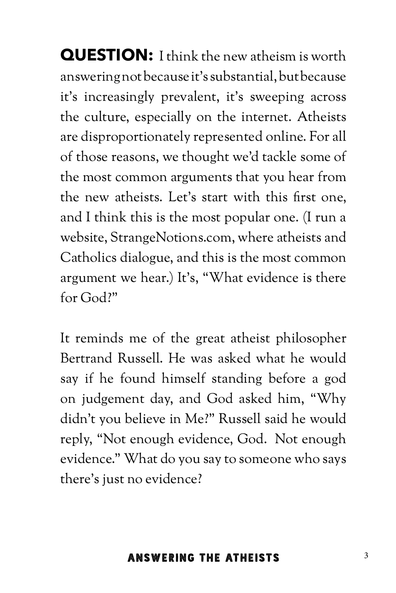**QUESTION:** I think the new atheism is worth answering not because it's substantial, but because it's increasingly prevalent, it's sweeping across the culture, especially on the internet. Atheists are disproportionately represented online. For all of those reasons, we thought we'd tackle some of the most common arguments that you hear from the new atheists. Let's start with this first one, and I think this is the most popular one. (I run a website, StrangeNotions.com, where atheists and Catholics dialogue, and this is the most common argument we hear.) It's, "What evidence is there for God?"

It reminds me of the great atheist philosopher Bertrand Russell. He was asked what he would say if he found himself standing before a god on judgement day, and God asked him, "Why didn't you believe in Me?" Russell said he would reply, "Not enough evidence, God. Not enough evidence." What do you say to someone who says there's just no evidence?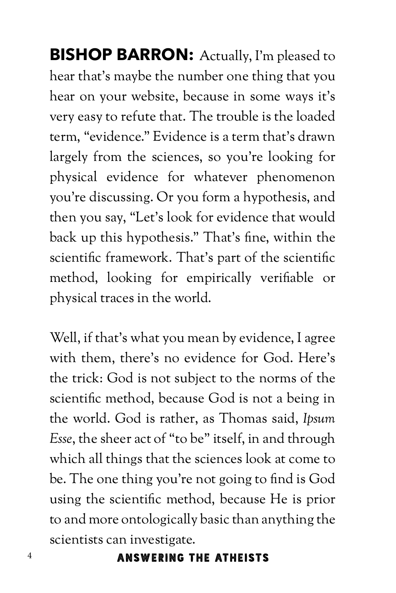**BISHOP BARRON:** Actually, I'm pleased to hear that's maybe the number one thing that you hear on your website, because in some ways it's very easy to refute that. The trouble is the loaded term, "evidence." Evidence is a term that's drawn largely from the sciences, so you're looking for physical evidence for whatever phenomenon you're discussing. Or you form a hypothesis, and then you say, "Let's look for evidence that would back up this hypothesis." That's fine, within the scientific framework. That's part of the scientific method, looking for empirically verifiable or physical traces in the world.

Well, if that's what you mean by evidence, I agree with them, there's no evidence for God. Here's the trick: God is not subject to the norms of the scientific method, because God is not a being in the world. God is rather, as Thomas said, *Ipsum Esse*, the sheer act of "to be" itself, in and through which all things that the sciences look at come to be. The one thing you're not going to find is God using the scientific method, because He is prior to and more ontologically basic than anything the scientists can investigate.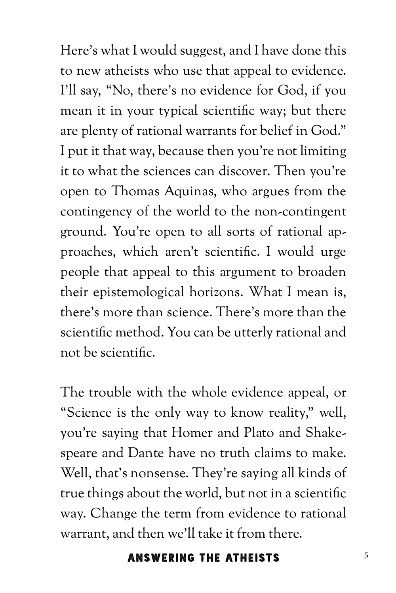Here's what I would suggest, and I have done this to new atheists who use that appeal to evidence. I'll say, "No, there's no evidence for God, if you mean it in your typical scientific way; but there are plenty of rational warrants for belief in God." I put it that way, because then you're not limiting it to what the sciences can discover. Then you're open to Thomas Aquinas, who argues from the contingency of the world to the non-contingent ground. You're open to all sorts of rational approaches, which aren't scientific. I would urge people that appeal to this argument to broaden their epistemological horizons. What I mean is, there's more than science. There's more than the scientific method. You can be utterly rational and not be scientific.

The trouble with the whole evidence appeal, or "Science is the only way to know reality," well, you're saying that Homer and Plato and Shakespeare and Dante have no truth claims to make. Well, that's nonsense. They're saying all kinds of true things about the world, but not in a scientific way. Change the term from evidence to rational warrant, and then we'll take it from there.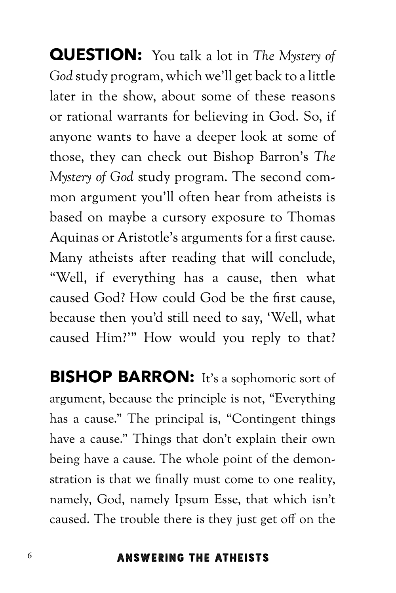**QUESTION:** You talk a lot in *The Mystery of God* study program, which we'll get back to a little later in the show, about some of these reasons or rational warrants for believing in God. So, if anyone wants to have a deeper look at some of those, they can check out Bishop Barron's *The Mystery of God* study program. The second common argument you'll often hear from atheists is based on maybe a cursory exposure to Thomas Aquinas or Aristotle's arguments for a first cause. Many atheists after reading that will conclude, "Well, if everything has a cause, then what caused God? How could God be the first cause, because then you'd still need to say, 'Well, what caused Him?'" How would you reply to that?

**BISHOP BARRON:** It's a sophomoric sort of argument, because the principle is not, "Everything has a cause." The principal is, "Contingent things have a cause." Things that don't explain their own being have a cause. The whole point of the demonstration is that we finally must come to one reality, namely, God, namely Ipsum Esse, that which isn't caused. The trouble there is they just get off on the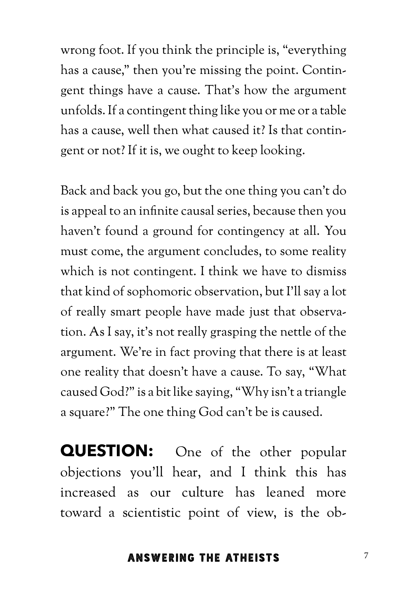wrong foot. If you think the principle is, "everything has a cause," then you're missing the point. Contingent things have a cause. That's how the argument unfolds. If a contingent thing like you or me or a table has a cause, well then what caused it? Is that contingent or not? If it is, we ought to keep looking.

Back and back you go, but the one thing you can't do is appeal to an infinite causal series, because then you haven't found a ground for contingency at all. You must come, the argument concludes, to some reality which is not contingent. I think we have to dismiss that kind of sophomoric observation, but I'll say a lot of really smart people have made just that observation. As I say, it's not really grasping the nettle of the argument. We're in fact proving that there is at least one reality that doesn't have a cause. To say, "What caused God?" is a bit like saying, "Why isn't a triangle a square?" The one thing God can't be is caused.

**QUESTION:** One of the other popular objections you'll hear, and I think this has increased as our culture has leaned more toward a scientistic point of view, is the ob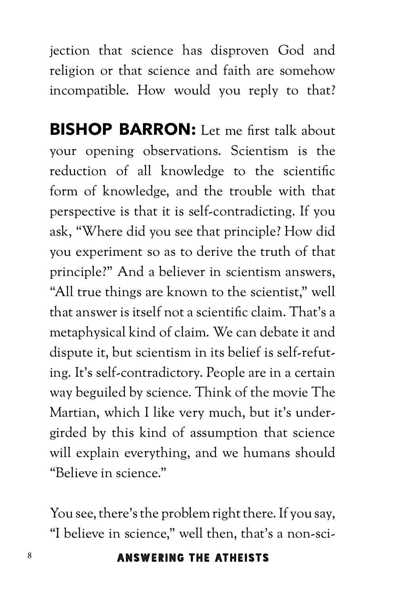jection that science has disproven God and religion or that science and faith are somehow incompatible. How would you reply to that?

**BISHOP BARRON:** Let me first talk about your opening observations. Scientism is the reduction of all knowledge to the scientific form of knowledge, and the trouble with that perspective is that it is self-contradicting. If you ask, "Where did you see that principle? How did you experiment so as to derive the truth of that principle?" And a believer in scientism answers, "All true things are known to the scientist," well that answer is itself not a scientific claim. That's a metaphysical kind of claim. We can debate it and dispute it, but scientism in its belief is self-refuting. It's self-contradictory. People are in a certain way beguiled by science. Think of the movie The Martian, which I like very much, but it's undergirded by this kind of assumption that science will explain everything, and we humans should "Believe in science."

You see, there's the problem right there. If you say, "I believe in science," well then, that's a non-sci-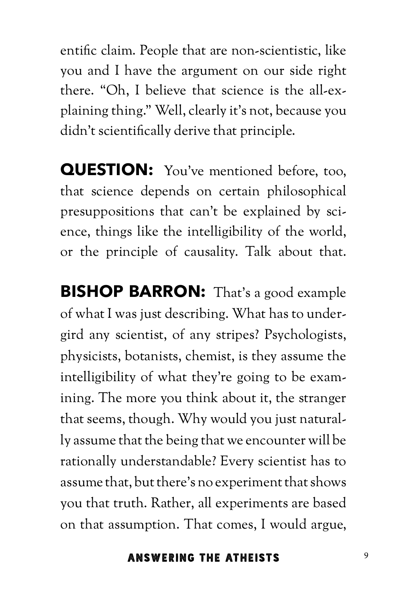entific claim. People that are non-scientistic, like you and I have the argument on our side right there. "Oh, I believe that science is the all-explaining thing." Well, clearly it's not, because you didn't scientifically derive that principle.

**QUESTION:** You've mentioned before, too, that science depends on certain philosophical presuppositions that can't be explained by science, things like the intelligibility of the world, or the principle of causality. Talk about that.

**BISHOP BARRON:** That's a good example of what I was just describing. What has to undergird any scientist, of any stripes? Psychologists, physicists, botanists, chemist, is they assume the intelligibility of what they're going to be examining. The more you think about it, the stranger that seems, though. Why would you just naturally assume that the being that we encounter will be rationally understandable? Every scientist has to assume that, but there's no experiment that shows you that truth. Rather, all experiments are based on that assumption. That comes, I would argue,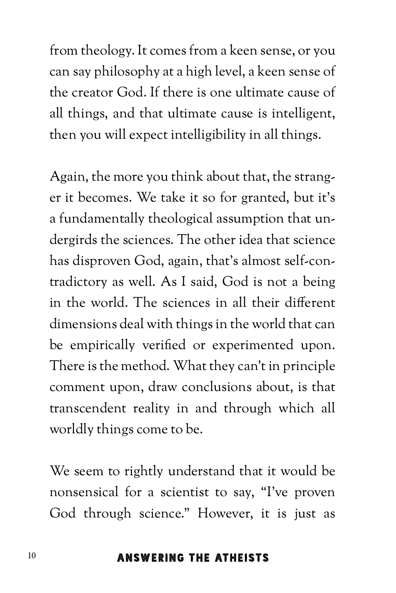from theology. It comes from a keen sense, or you can say philosophy at a high level, a keen sense of the creator God. If there is one ultimate cause of all things, and that ultimate cause is intelligent, then you will expect intelligibility in all things.

Again, the more you think about that, the stranger it becomes. We take it so for granted, but it's a fundamentally theological assumption that undergirds the sciences. The other idea that science has disproven God, again, that's almost self-contradictory as well. As I said, God is not a being in the world. The sciences in all their different dimensions deal with things in the world that can be empirically verified or experimented upon. There is the method. What they can't in principle comment upon, draw conclusions about, is that transcendent reality in and through which all worldly things come to be.

We seem to rightly understand that it would be nonsensical for a scientist to say, "I've proven God through science." However, it is just as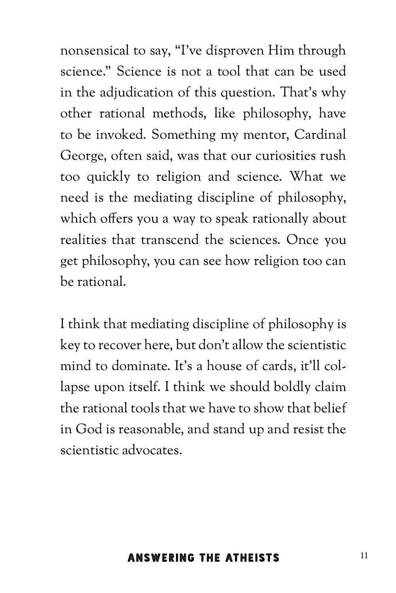nonsensical to say, "I've disproven Him through science." Science is not a tool that can be used in the adjudication of this question. That's why other rational methods, like philosophy, have to be invoked. Something my mentor, Cardinal George, often said, was that our curiosities rush too quickly to religion and science. What we need is the mediating discipline of philosophy, which offers you a way to speak rationally about realities that transcend the sciences. Once you get philosophy, you can see how religion too can be rational.

I think that mediating discipline of philosophy is key to recover here, but don't allow the scientistic mind to dominate. It's a house of cards, it'll collapse upon itself. I think we should boldly claim the rational tools that we have to show that belief in God is reasonable, and stand up and resist the scientistic advocates.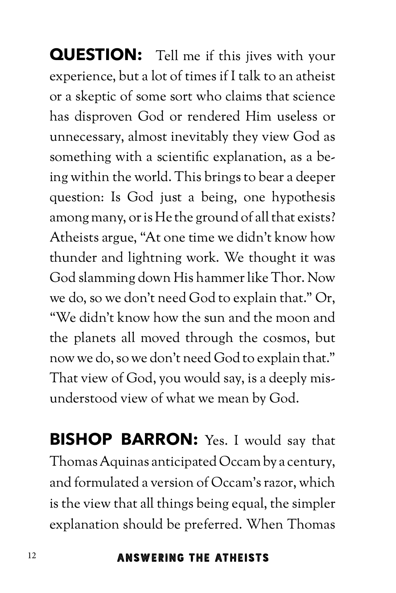**QUESTION:** Tell me if this jives with your experience, but a lot of times if I talk to an atheist or a skeptic of some sort who claims that science has disproven God or rendered Him useless or unnecessary, almost inevitably they view God as something with a scientific explanation, as a being within the world. This brings to bear a deeper question: Is God just a being, one hypothesis among many, or is He the ground of all that exists? Atheists argue, "At one time we didn't know how thunder and lightning work. We thought it was God slamming down His hammer like Thor. Now we do, so we don't need God to explain that." Or, "We didn't know how the sun and the moon and the planets all moved through the cosmos, but now we do, so we don't need God to explain that." That view of God, you would say, is a deeply misunderstood view of what we mean by God.

**BISHOP BARRON:** Yes. I would say that Thomas Aquinas anticipated Occam by a century, and formulated a version of Occam's razor, which is the view that all things being equal, the simpler explanation should be preferred. When Thomas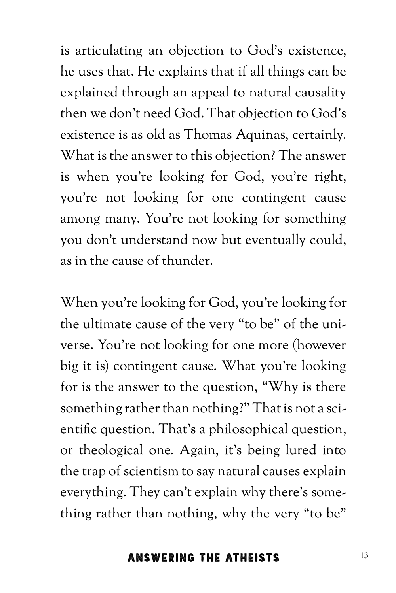is articulating an objection to God's existence, he uses that. He explains that if all things can be explained through an appeal to natural causality then we don't need God. That objection to God's existence is as old as Thomas Aquinas, certainly. What is the answer to this objection? The answer is when you're looking for God, you're right, you're not looking for one contingent cause among many. You're not looking for something you don't understand now but eventually could, as in the cause of thunder.

When you're looking for God, you're looking for the ultimate cause of the very "to be" of the universe. You're not looking for one more (however big it is) contingent cause. What you're looking for is the answer to the question, "Why is there something rather than nothing?" That is not a scientific question. That's a philosophical question, or theological one. Again, it's being lured into the trap of scientism to say natural causes explain everything. They can't explain why there's something rather than nothing, why the very "to be"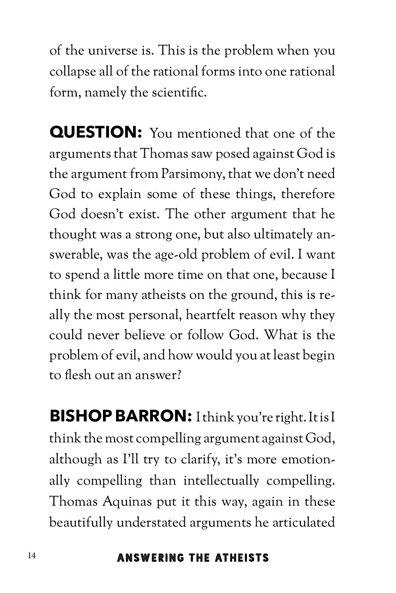of the universe is. This is the problem when you collapse all of the rational forms into one rational form, namely the scientific.

**QUESTION:** You mentioned that one of the arguments that Thomas saw posed against God is the argument from Parsimony, that we don't need God to explain some of these things, therefore God doesn't exist. The other argument that he thought was a strong one, but also ultimately answerable, was the age-old problem of evil. I want to spend a little more time on that one, because I think for many atheists on the ground, this is really the most personal, heartfelt reason why they could never believe or follow God. What is the problem of evil, and how would you at least begin to flesh out an answer?

**BISHOP BARRON:** I think you're right. It is I think the most compelling argument against God, although as I'll try to clarify, it's more emotionally compelling than intellectually compelling. Thomas Aquinas put it this way, again in these beautifully understated arguments he articulated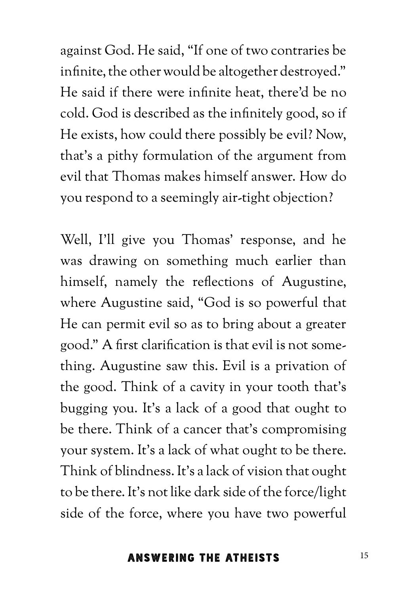against God. He said, "If one of two contraries be infinite, the other would be altogether destroyed." He said if there were infinite heat, there'd be no cold. God is described as the infinitely good, so if He exists, how could there possibly be evil? Now, that's a pithy formulation of the argument from evil that Thomas makes himself answer. How do you respond to a seemingly air-tight objection?

Well, I'll give you Thomas' response, and he was drawing on something much earlier than himself, namely the reflections of Augustine, where Augustine said, "God is so powerful that He can permit evil so as to bring about a greater good." A first clarification is that evil is not something. Augustine saw this. Evil is a privation of the good. Think of a cavity in your tooth that's bugging you. It's a lack of a good that ought to be there. Think of a cancer that's compromising your system. It's a lack of what ought to be there. Think of blindness. It's a lack of vision that ought to be there. It's not like dark side of the force/light side of the force, where you have two powerful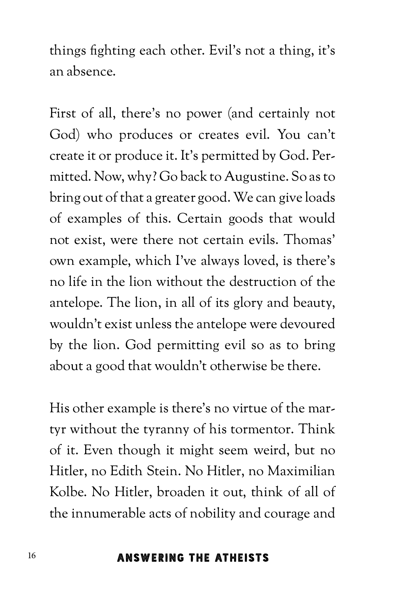things fighting each other. Evil's not a thing, it's an absence.

First of all, there's no power (and certainly not God) who produces or creates evil. You can't create it or produce it. It's permitted by God. Permitted. Now, why? Go back to Augustine. So as to bring out of that a greater good. We can give loads of examples of this. Certain goods that would not exist, were there not certain evils. Thomas' own example, which I've always loved, is there's no life in the lion without the destruction of the antelope. The lion, in all of its glory and beauty, wouldn't exist unless the antelope were devoured by the lion. God permitting evil so as to bring about a good that wouldn't otherwise be there.

His other example is there's no virtue of the martyr without the tyranny of his tormentor. Think of it. Even though it might seem weird, but no Hitler, no Edith Stein. No Hitler, no Maximilian Kolbe. No Hitler, broaden it out, think of all of the innumerable acts of nobility and courage and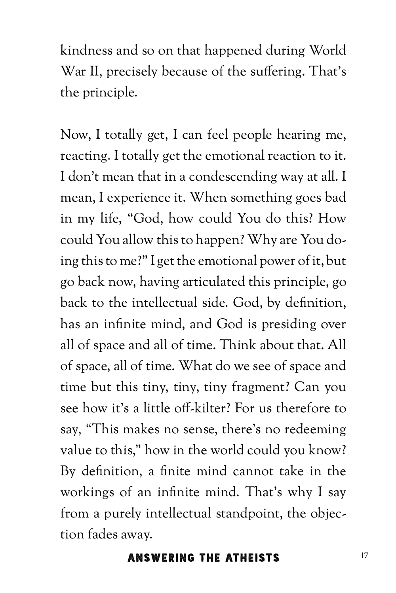kindness and so on that happened during World War II, precisely because of the suffering. That's the principle.

Now, I totally get, I can feel people hearing me, reacting. I totally get the emotional reaction to it. I don't mean that in a condescending way at all. I mean, I experience it. When something goes bad in my life, "God, how could You do this? How could You allow this to happen? Why are You doing this to me?" I get the emotional power of it, but go back now, having articulated this principle, go back to the intellectual side. God, by definition, has an infinite mind, and God is presiding over all of space and all of time. Think about that. All of space, all of time. What do we see of space and time but this tiny, tiny, tiny fragment? Can you see how it's a little off-kilter? For us therefore to say, "This makes no sense, there's no redeeming value to this," how in the world could you know? By definition, a finite mind cannot take in the workings of an infinite mind. That's why I say from a purely intellectual standpoint, the objection fades away.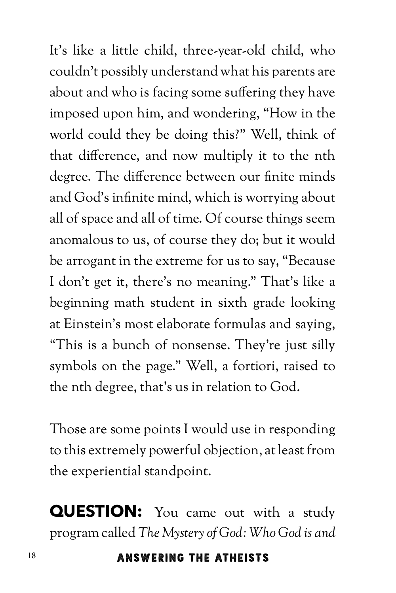It's like a little child, three-year-old child, who couldn't possibly understand what his parents are about and who is facing some suffering they have imposed upon him, and wondering, "How in the world could they be doing this?" Well, think of that difference, and now multiply it to the nth degree. The difference between our finite minds and God's infinite mind, which is worrying about all of space and all of time. Of course things seem anomalous to us, of course they do; but it would be arrogant in the extreme for us to say, "Because I don't get it, there's no meaning." That's like a beginning math student in sixth grade looking at Einstein's most elaborate formulas and saying, "This is a bunch of nonsense. They're just silly symbols on the page." Well, a fortiori, raised to the nth degree, that's us in relation to God.

Those are some points I would use in responding to this extremely powerful objection, at least from the experiential standpoint.

**QUESTION:** You came out with a study program called *The Mystery of God: Who God is and*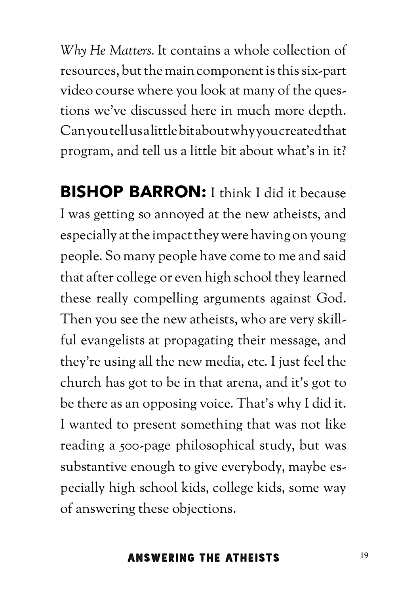*Why He Matters.* It contains a whole collection of resources, but the main component is this six-part video course where you look at many of the questions we've discussed here in much more depth. Can you tell us a little bit about why you created that program, and tell us a little bit about what's in it?

**BISHOP BARRON:** I think I did it because I was getting so annoyed at the new atheists, and especially at the impact they were having on young people. So many people have come to me and said that after college or even high school they learned these really compelling arguments against God. Then you see the new atheists, who are very skillful evangelists at propagating their message, and they're using all the new media, etc. I just feel the church has got to be in that arena, and it's got to be there as an opposing voice. That's why I did it. I wanted to present something that was not like reading a 500-page philosophical study, but was substantive enough to give everybody, maybe especially high school kids, college kids, some way of answering these objections.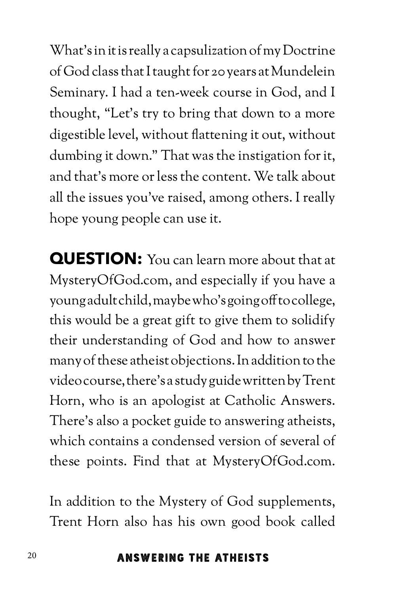What's in it is really a capsulization of my Doctrine of God class that I taught for 20 years at Mundelein Seminary. I had a ten-week course in God, and I thought, "Let's try to bring that down to a more digestible level, without flattening it out, without dumbing it down." That was the instigation for it, and that's more or less the content. We talk about all the issues you've raised, among others. I really hope young people can use it.

**QUESTION:** You can learn more about that at MysteryOfGod.com, and especially if you have a young adult child, maybe who's going off to college, this would be a great gift to give them to solidify their understanding of God and how to answer many of these atheist objections. In addition to the video course, there's a study guide written by Trent Horn, who is an apologist at Catholic Answers. There's also a pocket guide to answering atheists, which contains a condensed version of several of these points. Find that at MysteryOfGod.com.

In addition to the Mystery of God supplements, Trent Horn also has his own good book called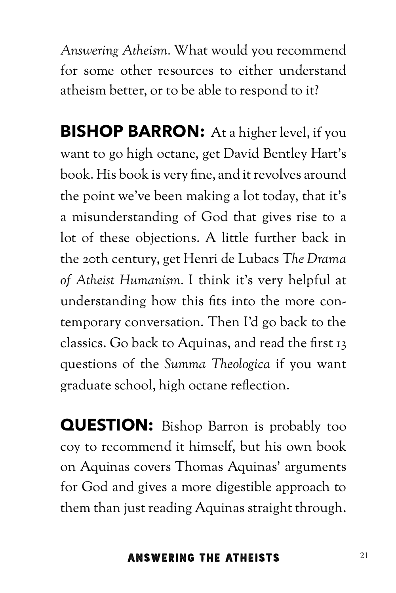*Answering Atheism.* What would you recommend for some other resources to either understand atheism better, or to be able to respond to it?

**BISHOP BARRON:** At a higher level, if you want to go high octane, get David Bentley Hart's book. His book is very fine, and it revolves around the point we've been making a lot today, that it's a misunderstanding of God that gives rise to a lot of these objections. A little further back in the 20th century, get Henri de Lubacs T*he Drama of Atheist Humanism.* I think it's very helpful at understanding how this fits into the more contemporary conversation. Then I'd go back to the classics. Go back to Aquinas, and read the first 13 questions of the *Summa Theologica* if you want graduate school, high octane reflection.

**QUESTION:** Bishop Barron is probably too coy to recommend it himself, but his own book on Aquinas covers Thomas Aquinas' arguments for God and gives a more digestible approach to them than just reading Aquinas straight through.